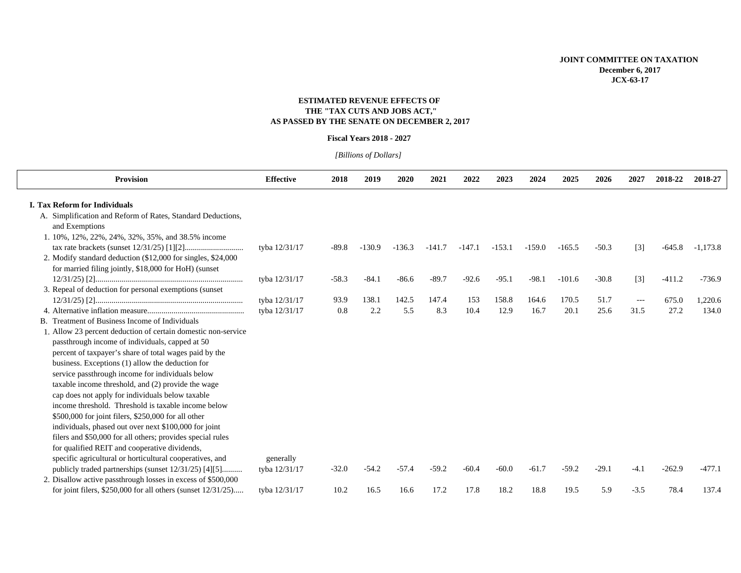## **JOINT COMMITTEE ON TAXATION December 6, 2017 JCX-63-17**

# **ESTIMATED REVENUE EFFECTS OF THE "TAX CUTS AND JOBS ACT," AS PASSED BY THE SENATE ON DECEMBER 2, 2017**

#### **Fiscal Years 2018 - 2027**

*[Billions of Dollars]* 

| <b>Provision</b>                                                 | <b>Effective</b> | 2018    | 2019     | 2020     | 2021     | 2022     | 2023     | 2024     | 2025     | 2026    | 2027   | 2018-22  | 2018-27    |
|------------------------------------------------------------------|------------------|---------|----------|----------|----------|----------|----------|----------|----------|---------|--------|----------|------------|
| <b>I. Tax Reform for Individuals</b>                             |                  |         |          |          |          |          |          |          |          |         |        |          |            |
| A. Simplification and Reform of Rates, Standard Deductions,      |                  |         |          |          |          |          |          |          |          |         |        |          |            |
| and Exemptions                                                   |                  |         |          |          |          |          |          |          |          |         |        |          |            |
| 1. 10%, 12%, 22%, 24%, 32%, 35%, and 38.5% income                |                  |         |          |          |          |          |          |          |          |         |        |          |            |
|                                                                  | tyba 12/31/17    | $-89.8$ | $-130.9$ | $-136.3$ | $-141.7$ | $-147.1$ | $-153.1$ | $-159.0$ | $-165.5$ | $-50.3$ | $[3]$  | $-645.8$ | $-1,173.8$ |
| 2. Modify standard deduction (\$12,000 for singles, \$24,000)    |                  |         |          |          |          |          |          |          |          |         |        |          |            |
| for married filing jointly, \$18,000 for HoH) (sunset            |                  |         |          |          |          |          |          |          |          |         |        |          |            |
|                                                                  | tyba 12/31/17    | $-58.3$ | $-84.1$  | $-86.6$  | $-89.7$  | $-92.6$  | $-95.1$  | $-98.1$  | $-101.6$ | $-30.8$ | $[3]$  | $-411.2$ | $-736.9$   |
| 3. Repeal of deduction for personal exemptions (sunset           |                  |         |          |          |          |          |          |          |          |         |        |          |            |
|                                                                  | tyba 12/31/17    | 93.9    | 138.1    | 142.5    | 147.4    | 153      | 158.8    | 164.6    | 170.5    | 51.7    | $---$  | 675.0    | 1,220.6    |
|                                                                  | tyba 12/31/17    | 0.8     | 2.2      | 5.5      | 8.3      | 10.4     | 12.9     | 16.7     | 20.1     | 25.6    | 31.5   | 27.2     | 134.0      |
| B. Treatment of Business Income of Individuals                   |                  |         |          |          |          |          |          |          |          |         |        |          |            |
| 1. Allow 23 percent deduction of certain domestic non-service    |                  |         |          |          |          |          |          |          |          |         |        |          |            |
| passthrough income of individuals, capped at 50                  |                  |         |          |          |          |          |          |          |          |         |        |          |            |
| percent of taxpayer's share of total wages paid by the           |                  |         |          |          |          |          |          |          |          |         |        |          |            |
| business. Exceptions (1) allow the deduction for                 |                  |         |          |          |          |          |          |          |          |         |        |          |            |
| service passthrough income for individuals below                 |                  |         |          |          |          |          |          |          |          |         |        |          |            |
| taxable income threshold, and (2) provide the wage               |                  |         |          |          |          |          |          |          |          |         |        |          |            |
| cap does not apply for individuals below taxable                 |                  |         |          |          |          |          |          |          |          |         |        |          |            |
| income threshold. Threshold is taxable income below              |                  |         |          |          |          |          |          |          |          |         |        |          |            |
| \$500,000 for joint filers, \$250,000 for all other              |                  |         |          |          |          |          |          |          |          |         |        |          |            |
| individuals, phased out over next \$100,000 for joint            |                  |         |          |          |          |          |          |          |          |         |        |          |            |
| filers and \$50,000 for all others; provides special rules       |                  |         |          |          |          |          |          |          |          |         |        |          |            |
| for qualified REIT and cooperative dividends,                    |                  |         |          |          |          |          |          |          |          |         |        |          |            |
| specific agricultural or horticultural cooperatives, and         | generally        |         |          |          |          |          |          |          |          |         |        |          |            |
| publicly traded partnerships (sunset 12/31/25) [4][5]            | tyba 12/31/17    | $-32.0$ | $-54.2$  | $-57.4$  | $-59.2$  | $-60.4$  | $-60.0$  | $-61.7$  | $-59.2$  | $-29.1$ | $-4.1$ | $-262.9$ | $-477.1$   |
| 2. Disallow active passthrough losses in excess of \$500,000     |                  |         |          |          |          |          |          |          |          |         |        |          |            |
| for joint filers, $$250,000$ for all others (sunset $12/31/25$ ) | tyba 12/31/17    | 10.2    | 16.5     | 16.6     | 17.2     | 17.8     | 18.2     | 18.8     | 19.5     | 5.9     | $-3.5$ | 78.4     | 137.4      |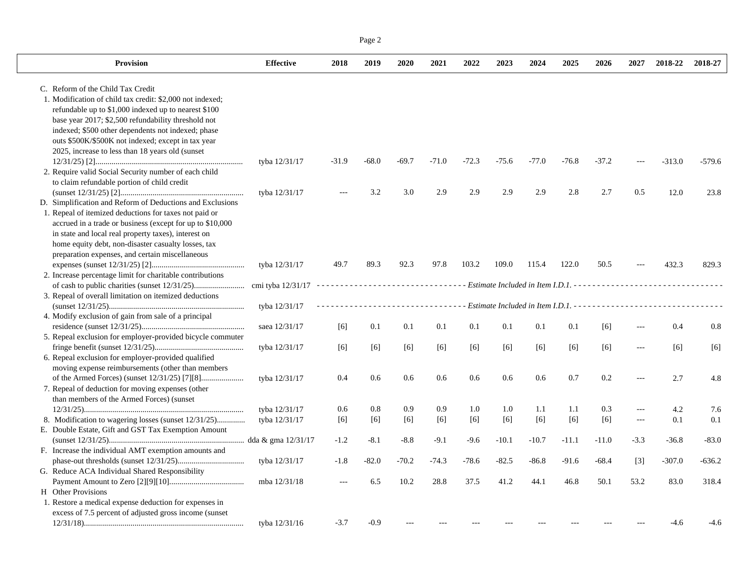| 2018-27  | 2018-22                | 2027                  | 2026                    | 2025                  | 2024                            | 2023                    | 2022                          | 2021                                   | 2020                            | 2019                                | 2018                               | <b>Effective</b>                                                                      | <b>Provision</b>                                                                                                                                                                                                                                                                                                                                                                                                                                                                                                                                                                                                                                                                                    |
|----------|------------------------|-----------------------|-------------------------|-----------------------|---------------------------------|-------------------------|-------------------------------|----------------------------------------|---------------------------------|-------------------------------------|------------------------------------|---------------------------------------------------------------------------------------|-----------------------------------------------------------------------------------------------------------------------------------------------------------------------------------------------------------------------------------------------------------------------------------------------------------------------------------------------------------------------------------------------------------------------------------------------------------------------------------------------------------------------------------------------------------------------------------------------------------------------------------------------------------------------------------------------------|
|          |                        |                       |                         |                       |                                 |                         |                               |                                        |                                 |                                     |                                    |                                                                                       | C. Reform of the Child Tax Credit                                                                                                                                                                                                                                                                                                                                                                                                                                                                                                                                                                                                                                                                   |
|          |                        |                       |                         |                       |                                 |                         |                               |                                        |                                 |                                     |                                    |                                                                                       | 1. Modification of child tax credit: \$2,000 not indexed;                                                                                                                                                                                                                                                                                                                                                                                                                                                                                                                                                                                                                                           |
|          |                        |                       |                         |                       |                                 |                         |                               |                                        |                                 |                                     |                                    |                                                                                       | refundable up to \$1,000 indexed up to nearest \$100                                                                                                                                                                                                                                                                                                                                                                                                                                                                                                                                                                                                                                                |
|          |                        |                       |                         |                       |                                 |                         |                               |                                        |                                 |                                     |                                    |                                                                                       | base year 2017; \$2,500 refundability threshold not                                                                                                                                                                                                                                                                                                                                                                                                                                                                                                                                                                                                                                                 |
|          |                        |                       |                         |                       |                                 |                         |                               |                                        |                                 |                                     |                                    |                                                                                       | indexed; \$500 other dependents not indexed; phase                                                                                                                                                                                                                                                                                                                                                                                                                                                                                                                                                                                                                                                  |
|          |                        |                       |                         |                       |                                 |                         |                               |                                        |                                 |                                     |                                    |                                                                                       | outs \$500K/\$500K not indexed; except in tax year                                                                                                                                                                                                                                                                                                                                                                                                                                                                                                                                                                                                                                                  |
|          |                        |                       |                         |                       |                                 |                         |                               |                                        |                                 |                                     |                                    |                                                                                       | 2025, increase to less than 18 years old (sunset)                                                                                                                                                                                                                                                                                                                                                                                                                                                                                                                                                                                                                                                   |
| $-579.6$ | $-313.0$               |                       | $-37.2$                 | $-76.8$               | $-77.0$                         | $-75.6$                 | $-72.3$                       | $-71.0$                                | $-69.7$                         | $-68.0$                             | $-31.9$                            | tyba 12/31/17                                                                         |                                                                                                                                                                                                                                                                                                                                                                                                                                                                                                                                                                                                                                                                                                     |
|          |                        |                       |                         |                       |                                 |                         |                               |                                        |                                 |                                     |                                    |                                                                                       | 2. Require valid Social Security number of each child                                                                                                                                                                                                                                                                                                                                                                                                                                                                                                                                                                                                                                               |
|          |                        |                       |                         |                       |                                 |                         |                               |                                        |                                 |                                     |                                    |                                                                                       | to claim refundable portion of child credit                                                                                                                                                                                                                                                                                                                                                                                                                                                                                                                                                                                                                                                         |
| 23.8     | 12.0                   | 0.5                   | 2.7                     | 2.8                   | 2.9                             | 2.9                     | 2.9                           | 2.9                                    | 3.0                             | 3.2                                 |                                    | tyba 12/31/17                                                                         |                                                                                                                                                                                                                                                                                                                                                                                                                                                                                                                                                                                                                                                                                                     |
|          |                        |                       |                         |                       |                                 |                         |                               |                                        |                                 |                                     |                                    |                                                                                       | D. Simplification and Reform of Deductions and Exclusions                                                                                                                                                                                                                                                                                                                                                                                                                                                                                                                                                                                                                                           |
|          |                        |                       |                         |                       |                                 |                         |                               |                                        |                                 |                                     |                                    |                                                                                       | 1. Repeal of itemized deductions for taxes not paid or                                                                                                                                                                                                                                                                                                                                                                                                                                                                                                                                                                                                                                              |
|          |                        |                       |                         |                       |                                 |                         |                               |                                        |                                 |                                     |                                    |                                                                                       | accrued in a trade or business (except for up to \$10,000                                                                                                                                                                                                                                                                                                                                                                                                                                                                                                                                                                                                                                           |
|          |                        |                       |                         |                       |                                 |                         |                               |                                        |                                 |                                     |                                    |                                                                                       | in state and local real property taxes), interest on                                                                                                                                                                                                                                                                                                                                                                                                                                                                                                                                                                                                                                                |
|          |                        |                       |                         |                       |                                 |                         |                               |                                        |                                 |                                     |                                    |                                                                                       | home equity debt, non-disaster casualty losses, tax                                                                                                                                                                                                                                                                                                                                                                                                                                                                                                                                                                                                                                                 |
|          |                        |                       |                         |                       |                                 |                         |                               |                                        |                                 |                                     |                                    |                                                                                       | preparation expenses, and certain miscellaneous                                                                                                                                                                                                                                                                                                                                                                                                                                                                                                                                                                                                                                                     |
| 829.3    | 432.3                  |                       | 50.5                    | 122.0                 | 115.4                           | 109.0                   | 103.2                         | 97.8                                   | 92.3                            | 89.3                                | 49.7                               | tyba 12/31/17                                                                         |                                                                                                                                                                                                                                                                                                                                                                                                                                                                                                                                                                                                                                                                                                     |
|          |                        |                       |                         |                       |                                 |                         |                               |                                        |                                 |                                     |                                    |                                                                                       | 2. Increase percentage limit for charitable contributions                                                                                                                                                                                                                                                                                                                                                                                                                                                                                                                                                                                                                                           |
|          |                        |                       |                         |                       |                                 |                         |                               |                                        |                                 |                                     |                                    |                                                                                       |                                                                                                                                                                                                                                                                                                                                                                                                                                                                                                                                                                                                                                                                                                     |
|          |                        |                       |                         |                       |                                 |                         |                               |                                        |                                 |                                     |                                    |                                                                                       |                                                                                                                                                                                                                                                                                                                                                                                                                                                                                                                                                                                                                                                                                                     |
|          |                        |                       |                         |                       |                                 |                         |                               |                                        |                                 |                                     |                                    |                                                                                       |                                                                                                                                                                                                                                                                                                                                                                                                                                                                                                                                                                                                                                                                                                     |
|          |                        |                       |                         |                       |                                 |                         |                               |                                        |                                 |                                     |                                    |                                                                                       |                                                                                                                                                                                                                                                                                                                                                                                                                                                                                                                                                                                                                                                                                                     |
| 0.8      | 0.4                    |                       | [6]                     | 0.1                   | 0.1                             | 0.1                     | 0.1                           | 0.1                                    | 0.1                             | 0.1                                 |                                    | saea 12/31/17                                                                         |                                                                                                                                                                                                                                                                                                                                                                                                                                                                                                                                                                                                                                                                                                     |
|          |                        |                       |                         |                       |                                 |                         |                               |                                        |                                 |                                     |                                    |                                                                                       |                                                                                                                                                                                                                                                                                                                                                                                                                                                                                                                                                                                                                                                                                                     |
| [6]      |                        |                       |                         |                       |                                 |                         |                               |                                        |                                 |                                     |                                    | tyba 12/31/17                                                                         |                                                                                                                                                                                                                                                                                                                                                                                                                                                                                                                                                                                                                                                                                                     |
|          |                        |                       |                         |                       |                                 |                         |                               |                                        |                                 |                                     |                                    |                                                                                       |                                                                                                                                                                                                                                                                                                                                                                                                                                                                                                                                                                                                                                                                                                     |
|          |                        |                       |                         |                       |                                 |                         |                               |                                        |                                 |                                     |                                    |                                                                                       |                                                                                                                                                                                                                                                                                                                                                                                                                                                                                                                                                                                                                                                                                                     |
| 4.8      |                        |                       | 0.2                     | 0.7                   | 0.6                             | 0.6                     | 0.6                           | 0.6                                    | 0.6                             | 0.6                                 | 0.4                                |                                                                                       |                                                                                                                                                                                                                                                                                                                                                                                                                                                                                                                                                                                                                                                                                                     |
|          |                        |                       |                         |                       |                                 |                         |                               |                                        |                                 |                                     |                                    |                                                                                       |                                                                                                                                                                                                                                                                                                                                                                                                                                                                                                                                                                                                                                                                                                     |
|          |                        |                       |                         |                       |                                 |                         |                               |                                        |                                 |                                     |                                    |                                                                                       |                                                                                                                                                                                                                                                                                                                                                                                                                                                                                                                                                                                                                                                                                                     |
| 7.6      | 4.2                    | $\scriptstyle \cdots$ | 0.3                     | 1.1                   | 1.1                             | 1.0                     | 1.0                           |                                        | 0.9                             |                                     |                                    |                                                                                       |                                                                                                                                                                                                                                                                                                                                                                                                                                                                                                                                                                                                                                                                                                     |
| 0.1      | 0.1                    | $---$                 |                         |                       |                                 |                         |                               |                                        |                                 |                                     |                                    | tyba 12/31/17                                                                         |                                                                                                                                                                                                                                                                                                                                                                                                                                                                                                                                                                                                                                                                                                     |
|          |                        |                       |                         |                       |                                 |                         |                               |                                        |                                 |                                     |                                    |                                                                                       |                                                                                                                                                                                                                                                                                                                                                                                                                                                                                                                                                                                                                                                                                                     |
| $-83.0$  | $-36.8$                | $-3.3$                | $-11.0$                 | $-11.1$               | $-10.7$                         | $-10.1$                 | $-9.6$                        | $-9.1$                                 | $-8.8$                          | $-8.1$                              | $-1.2$                             |                                                                                       |                                                                                                                                                                                                                                                                                                                                                                                                                                                                                                                                                                                                                                                                                                     |
|          |                        |                       |                         |                       |                                 |                         |                               |                                        |                                 |                                     |                                    |                                                                                       |                                                                                                                                                                                                                                                                                                                                                                                                                                                                                                                                                                                                                                                                                                     |
| -636.2   |                        |                       |                         |                       |                                 |                         |                               |                                        |                                 |                                     |                                    |                                                                                       |                                                                                                                                                                                                                                                                                                                                                                                                                                                                                                                                                                                                                                                                                                     |
|          |                        |                       |                         |                       |                                 |                         |                               |                                        |                                 |                                     |                                    |                                                                                       |                                                                                                                                                                                                                                                                                                                                                                                                                                                                                                                                                                                                                                                                                                     |
| 318.4    | 83.0                   | 53.2                  | 50.1                    | 46.8                  |                                 | 41.2                    |                               |                                        |                                 |                                     |                                    | mba 12/31/18                                                                          |                                                                                                                                                                                                                                                                                                                                                                                                                                                                                                                                                                                                                                                                                                     |
|          |                        |                       |                         |                       |                                 |                         |                               |                                        |                                 |                                     |                                    |                                                                                       |                                                                                                                                                                                                                                                                                                                                                                                                                                                                                                                                                                                                                                                                                                     |
|          |                        |                       |                         |                       |                                 |                         |                               |                                        |                                 |                                     |                                    |                                                                                       |                                                                                                                                                                                                                                                                                                                                                                                                                                                                                                                                                                                                                                                                                                     |
|          |                        |                       |                         |                       |                                 |                         |                               |                                        |                                 |                                     |                                    |                                                                                       |                                                                                                                                                                                                                                                                                                                                                                                                                                                                                                                                                                                                                                                                                                     |
|          |                        |                       |                         |                       |                                 |                         |                               |                                        |                                 |                                     |                                    |                                                                                       | excess of 7.5 percent of adjusted gross income (sunset)                                                                                                                                                                                                                                                                                                                                                                                                                                                                                                                                                                                                                                             |
|          | [6]<br>2.7<br>$-307.0$ | $\lceil 3 \rceil$     | [6]<br>$[6]$<br>$-68.4$ | [6]<br>[6]<br>$-91.6$ | [6]<br>$[6]$<br>$-86.8$<br>44.1 | [6]<br>$[6]$<br>$-82.5$ | [6]<br>[6]<br>$-78.6$<br>37.5 | $[6]$<br>0.9<br>[6]<br>$-74.3$<br>28.8 | [6]<br>$[6]$<br>$-70.2$<br>10.2 | [6]<br>0.8<br>[6]<br>$-82.0$<br>6.5 | [6]<br>[6]<br>0.6<br>[6]<br>$-1.8$ | cmi tyba 12/31/17<br>tyba 12/31/17<br>tyba 12/31/17<br>tyba 12/31/17<br>tyba 12/31/17 | 3. Repeal of overall limitation on itemized deductions<br>4. Modify exclusion of gain from sale of a principal<br>5. Repeal exclusion for employer-provided bicycle commuter<br>6. Repeal exclusion for employer-provided qualified<br>moving expense reimbursements (other than members<br>7. Repeal of deduction for moving expenses (other<br>than members of the Armed Forces) (sunset<br>8. Modification to wagering losses (sunset 12/31/25)<br>E. Double Estate, Gift and GST Tax Exemption Amount<br>F. Increase the individual AMT exemption amounts and<br>G. Reduce ACA Individual Shared Responsibility<br>H Other Provisions<br>1. Restore a medical expense deduction for expenses in |

 $\mathbf{I}$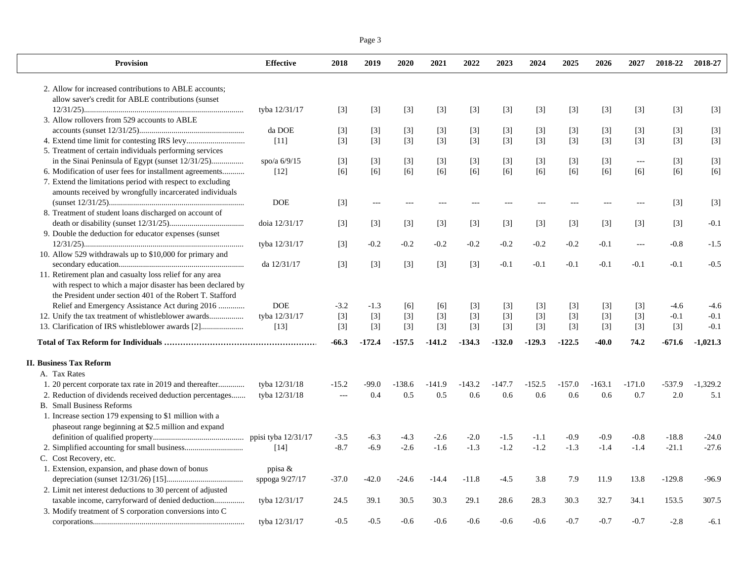|--|--|--|

| <b>Provision</b>                                                                                                                                                                                                                                                                                                                                                                                                                                                                         | <b>Effective</b>    | 2018              | 2019     | 2020              | 2021     | 2022     | 2023     | 2024              | 2025     | 2026     | 2027                                   | 2018-22           | 2018-27    |
|------------------------------------------------------------------------------------------------------------------------------------------------------------------------------------------------------------------------------------------------------------------------------------------------------------------------------------------------------------------------------------------------------------------------------------------------------------------------------------------|---------------------|-------------------|----------|-------------------|----------|----------|----------|-------------------|----------|----------|----------------------------------------|-------------------|------------|
| 2. Allow for increased contributions to ABLE accounts;                                                                                                                                                                                                                                                                                                                                                                                                                                   |                     |                   |          |                   |          |          |          |                   |          |          |                                        |                   |            |
| allow saver's credit for ABLE contributions (sunset                                                                                                                                                                                                                                                                                                                                                                                                                                      |                     |                   |          |                   |          |          |          |                   |          |          |                                        |                   |            |
|                                                                                                                                                                                                                                                                                                                                                                                                                                                                                          | tyba 12/31/17       | $\lceil 3 \rceil$ | $[3]$    | $[3]$             | $[3]$    | $[3]$    | $[3]$    | $[3]$             | $[3]$    | $[3]$    | $[3]$                                  | $[3]$             | $[3]$      |
| 3. Allow rollovers from 529 accounts to ABLE                                                                                                                                                                                                                                                                                                                                                                                                                                             |                     |                   |          |                   |          |          |          |                   |          |          |                                        |                   |            |
|                                                                                                                                                                                                                                                                                                                                                                                                                                                                                          | da DOE              | $[3]$             | $[3]$    | $[3]$             | $[3]$    | $[3]$    | $[3]$    | $[3]$             | $[3]$    | $[3]$    | $[3]$                                  | $[3]$             | $[3]$      |
|                                                                                                                                                                                                                                                                                                                                                                                                                                                                                          | $[11]$              | $[3]$             | $[3]$    | $[3]$             | $[3]$    | $[3]$    | $[3]$    | $[3]$             | $[3]$    | $[3]$    | $[3]$                                  | $[3]$             | $[3]$      |
| 5. Treatment of certain individuals performing services                                                                                                                                                                                                                                                                                                                                                                                                                                  |                     |                   |          |                   |          |          |          |                   |          |          |                                        |                   |            |
| in the Sinai Peninsula of Egypt (sunset 12/31/25)                                                                                                                                                                                                                                                                                                                                                                                                                                        | spo/a $6/9/15$      | $\lceil 3 \rceil$ | $[3]$    | $[3]$             | $[3]$    | [3]      | $[3]$    | $\lceil 3 \rceil$ | $[3]$    | $[3]$    | $\scriptstyle\cdots\scriptstyle\cdots$ | $[3]$             | $[3]$      |
| 6. Modification of user fees for installment agreements                                                                                                                                                                                                                                                                                                                                                                                                                                  | $[12]$              | [6]               | [6]      | [6]               | [6]      | [6]      | [6]      | [6]               | [6]      | [6]      | [6]                                    | [6]               | [6]        |
| 7. Extend the limitations period with respect to excluding                                                                                                                                                                                                                                                                                                                                                                                                                               |                     |                   |          |                   |          |          |          |                   |          |          |                                        |                   |            |
| amounts received by wrongfully incarcerated individuals                                                                                                                                                                                                                                                                                                                                                                                                                                  |                     |                   |          |                   |          |          |          |                   |          |          |                                        |                   |            |
|                                                                                                                                                                                                                                                                                                                                                                                                                                                                                          | <b>DOE</b>          | $[3]$             | $---$    |                   |          | $---$    |          |                   |          | $---$    | $---$                                  | $[3]$             | $[3]$      |
| 8. Treatment of student loans discharged on account of                                                                                                                                                                                                                                                                                                                                                                                                                                   |                     |                   |          |                   |          |          |          |                   |          |          |                                        |                   |            |
|                                                                                                                                                                                                                                                                                                                                                                                                                                                                                          | doia 12/31/17       | $\lceil 3 \rceil$ | $[3]$    | $[3]$             | $[3]$    | $[3]$    | $[3]$    | $[3]$             | $[3]$    | $[3]$    | $\lceil 3 \rceil$                      | $\lceil 3 \rceil$ | $-0.1$     |
| 9. Double the deduction for educator expenses (sunset                                                                                                                                                                                                                                                                                                                                                                                                                                    |                     |                   |          |                   |          |          |          |                   |          |          |                                        |                   |            |
|                                                                                                                                                                                                                                                                                                                                                                                                                                                                                          | tyba 12/31/17       | $[3]$             | $-0.2$   | $-0.2$            | $-0.2$   | $-0.2$   | $-0.2$   | $-0.2$            | $-0.2$   | $-0.1$   | $\cdots$                               | $-0.8$            | $-1.5$     |
| 10. Allow 529 withdrawals up to \$10,000 for primary and                                                                                                                                                                                                                                                                                                                                                                                                                                 |                     |                   |          |                   |          |          |          |                   |          |          |                                        |                   |            |
|                                                                                                                                                                                                                                                                                                                                                                                                                                                                                          | da 12/31/17         | $[3]$             | $[3]$    | $[3]$             | $[3]$    | $[3]$    | $-0.1$   | $-0.1$            | $-0.1$   | $-0.1$   | $-0.1$                                 | $-0.1$            | $-0.5$     |
| 11. Retirement plan and casualty loss relief for any area                                                                                                                                                                                                                                                                                                                                                                                                                                |                     |                   |          |                   |          |          |          |                   |          |          |                                        |                   |            |
| with respect to which a major disaster has been declared by                                                                                                                                                                                                                                                                                                                                                                                                                              |                     |                   |          |                   |          |          |          |                   |          |          |                                        |                   |            |
| the President under section 401 of the Robert T. Stafford                                                                                                                                                                                                                                                                                                                                                                                                                                |                     |                   |          |                   |          |          |          |                   |          |          |                                        |                   |            |
| Relief and Emergency Assistance Act during 2016                                                                                                                                                                                                                                                                                                                                                                                                                                          | <b>DOE</b>          | $-3.2$            | $-1.3$   | $[6]$             | [6]      | $[3]$    | $[3]$    | $[3]$             | $[3]$    | $[3]$    | $[3]$                                  | $-4.6$            | $-4.6$     |
| 12. Unify the tax treatment of whistleblower awards                                                                                                                                                                                                                                                                                                                                                                                                                                      | tyba 12/31/17       | $[3]$             | $[3]$    | $[3]$             | $[3]$    | $[3]$    | $[3]$    | $[3]$             | $[3]$    | $[3]$    | $[3]$                                  | $-0.1$            | $-0.1$     |
| 13. Clarification of IRS whistleblower awards [2]                                                                                                                                                                                                                                                                                                                                                                                                                                        | [13]                | $\lceil 3 \rceil$ | $[3]$    | $\lceil 3 \rceil$ | $[3]$    | $[3]$    | $[3]$    | $[3]$             | $[3]$    | $[3]$    | $\lceil 3 \rceil$                      | $[3]$             | $-0.1$     |
|                                                                                                                                                                                                                                                                                                                                                                                                                                                                                          |                     | $-66.3$           | $-172.4$ | $-157.5$          | $-141.2$ | $-134.3$ | $-132.0$ | $-129.3$          | $-122.5$ | $-40.0$  | 74.2                                   | -671.6            | $-1.021.3$ |
| <b>II. Business Tax Reform</b>                                                                                                                                                                                                                                                                                                                                                                                                                                                           |                     |                   |          |                   |          |          |          |                   |          |          |                                        |                   |            |
| A. Tax Rates                                                                                                                                                                                                                                                                                                                                                                                                                                                                             |                     |                   |          |                   |          |          |          |                   |          |          |                                        |                   |            |
| 1. 20 percent corporate tax rate in 2019 and thereafter                                                                                                                                                                                                                                                                                                                                                                                                                                  | tyba 12/31/18       | $-15.2$           | $-99.0$  | $-138.6$          | $-141.9$ | $-143.2$ | $-147.7$ | $-152.5$          | $-157.0$ | $-163.1$ | $-171.0$                               | $-537.9$          | $-1.329.2$ |
| 2. Reduction of dividends received deduction percentages                                                                                                                                                                                                                                                                                                                                                                                                                                 | tyba 12/31/18       | $\sim$ $\sim$     | 0.4      | 0.5               | 0.5      | 0.6      | 0.6      | 0.6               | 0.6      | 0.6      | 0.7                                    | 2.0               | 5.1        |
| <b>B.</b> Small Business Reforms                                                                                                                                                                                                                                                                                                                                                                                                                                                         |                     |                   |          |                   |          |          |          |                   |          |          |                                        |                   |            |
| 1. Increase section 179 expensing to \$1 million with a                                                                                                                                                                                                                                                                                                                                                                                                                                  |                     |                   |          |                   |          |          |          |                   |          |          |                                        |                   |            |
| phaseout range beginning at \$2.5 million and expand                                                                                                                                                                                                                                                                                                                                                                                                                                     |                     |                   |          |                   |          |          |          |                   |          |          |                                        |                   |            |
|                                                                                                                                                                                                                                                                                                                                                                                                                                                                                          | ppisi tyba 12/31/17 | $-3.5$            | $-6.3$   | $-4.3$            | $-2.6$   | $-2.0$   | $-1.5$   | $-1.1$            | $-0.9$   | $-0.9$   | $-0.8$                                 | $-18.8$           | $-24.0$    |
|                                                                                                                                                                                                                                                                                                                                                                                                                                                                                          | [14]                | $-8.7$            | $-6.9$   | $-2.6$            | $-1.6$   | $-1.3$   | $-1.2$   | $-1.2$            | $-1.3$   | $-1.4$   | $-1.4$                                 | $-21.1$           | $-27.6$    |
| C. Cost Recovery, etc.                                                                                                                                                                                                                                                                                                                                                                                                                                                                   |                     |                   |          |                   |          |          |          |                   |          |          |                                        |                   |            |
| 1. Extension, expansion, and phase down of bonus                                                                                                                                                                                                                                                                                                                                                                                                                                         | ppisa $\&$          |                   |          |                   |          |          |          |                   |          |          |                                        |                   |            |
|                                                                                                                                                                                                                                                                                                                                                                                                                                                                                          | sppoga 9/27/17      | $-37.0$           | $-42.0$  | $-24.6$           | $-14.4$  | $-11.8$  | $-4.5$   | 3.8               | 7.9      | 11.9     | 13.8                                   | $-129.8$          | $-96.9$    |
| 2. Limit net interest deductions to 30 percent of adjusted                                                                                                                                                                                                                                                                                                                                                                                                                               |                     |                   |          |                   |          |          |          |                   |          |          |                                        |                   |            |
| taxable income, carryforward of denied deduction                                                                                                                                                                                                                                                                                                                                                                                                                                         | tyba 12/31/17       | 24.5              | 39.1     | 30.5              | 30.3     | 29.1     | 28.6     | 28.3              | 30.3     | 32.7     | 34.1                                   | 153.5             | 307.5      |
| 3. Modify treatment of S corporation conversions into C                                                                                                                                                                                                                                                                                                                                                                                                                                  |                     |                   |          |                   |          |          |          |                   |          |          |                                        |                   |            |
| $corporations \begin{minipage}{14cm} \begin{minipage}{0.5\textwidth} \centering \textbf{0.0000} \end{minipage} \begin{minipage}{0.5\textwidth} \centering \textbf{0.0000} \end{minipage} \begin{minipage}{0.5\textwidth} \centering \textbf{0.0000} \end{minipage} \begin{minipage}{0.5\textwidth} \centering \textbf{0.0000} \end{minipage} \begin{minipage}{0.5\textwidth} \centering \textbf{0.0000} \end{minipage} \begin{minipage}{0.5\textwidth} \centering \textbf{0.0000} \end{$ | tyba 12/31/17       | $-0.5$            | $-0.5$   | $-0.6$            | $-0.6$   | $-0.6$   | $-0.6$   | $-0.6$            | $-0.7$   | $-0.7$   | $-0.7$                                 | $-2.8$            | $-6.1$     |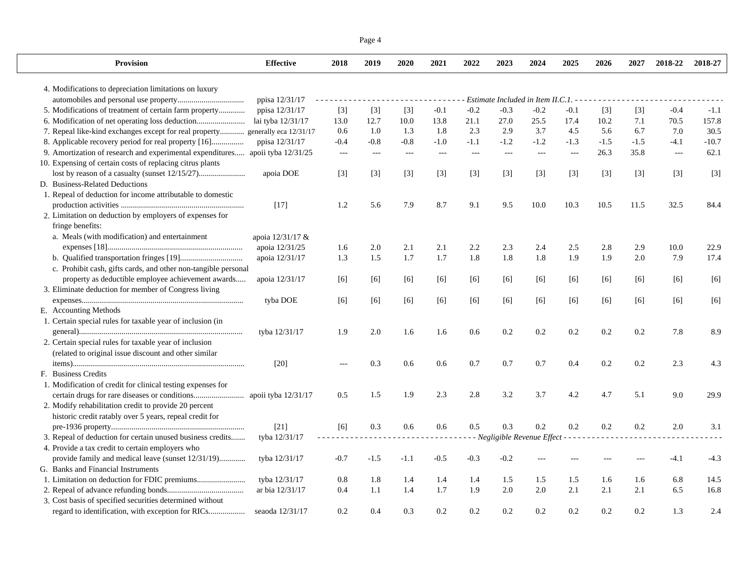|                                                                               |                   |            | Page 4 |        |        |        |        |                                     |                |        |        |                |         |
|-------------------------------------------------------------------------------|-------------------|------------|--------|--------|--------|--------|--------|-------------------------------------|----------------|--------|--------|----------------|---------|
| <b>Provision</b>                                                              | <b>Effective</b>  | 2018       | 2019   | 2020   | 2021   | 2022   | 2023   | 2024                                | 2025           | 2026   | 2027   | 2018-22        | 2018-27 |
| 4. Modifications to depreciation limitations on luxury                        |                   |            |        |        |        |        |        |                                     |                |        |        |                |         |
|                                                                               | ppisa 12/31/17    |            |        |        |        |        |        | Estimate Included in Item II.C.1. - |                |        |        |                |         |
| 5. Modifications of treatment of certain farm property                        | ppisa 12/31/17    | $[3]$      | $[3]$  | $[3]$  | $-0.1$ | $-0.2$ | $-0.3$ | $-0.2$                              | $-0.1$         | $[3]$  | $[3]$  | $-0.4$         | $-1.1$  |
| 6. Modification of net operating loss deduction                               | lai tyba 12/31/17 | 13.0       | 12.7   | 10.0   | 13.8   | 21.1   | 27.0   | 25.5                                | 17.4           | 10.2   | 7.1    | 70.5           | 157.8   |
| 7. Repeal like-kind exchanges except for real property generally eca 12/31/17 |                   | 0.6        | 1.0    | 1.3    | 1.8    | 2.3    | 2.9    | 3.7                                 | 4.5            | 5.6    | 6.7    | 7.0            | 30.5    |
| 8. Applicable recovery period for real property [16]                          | ppisa 12/31/17    | $-0.4$     | $-0.8$ | $-0.8$ | $-1.0$ | $-1.1$ | $-1.2$ | $-1.2$                              | $-1.3$         | $-1.5$ | $-1.5$ | $-4.1$         | $-10.7$ |
| 9. Amortization of research and experimental expenditures apoii tyba 12/31/25 |                   | $- - -$    | $---$  | $---$  | $---$  | $---$  | $---$  | $---$                               | $\overline{a}$ | 26.3   | 35.8   | $\overline{a}$ | 62.1    |
| 10. Expensing of certain costs of replacing citrus plants                     |                   |            |        |        |        |        |        |                                     |                |        |        |                |         |
|                                                                               | apoia DOE         | $[3]$      | $[3]$  | $[3]$  | $[3]$  | $[3]$  | $[3]$  | $[3]$                               | $[3]$          | $[3]$  | $[3]$  | $[3]$          | $[3]$   |
| D. Business-Related Deductions                                                |                   |            |        |        |        |        |        |                                     |                |        |        |                |         |
| 1. Repeal of deduction for income attributable to domestic                    |                   |            |        |        |        |        |        |                                     |                |        |        |                |         |
|                                                                               | $[17]$            | 1.2        | 5.6    | 7.9    | 8.7    | 9.1    | 9.5    | 10.0                                | 10.3           | 10.5   | 11.5   | 32.5           | 84.4    |
| 2. Limitation on deduction by employers of expenses for                       |                   |            |        |        |        |        |        |                                     |                |        |        |                |         |
| fringe benefits:                                                              |                   |            |        |        |        |        |        |                                     |                |        |        |                |         |
| a. Meals (with modification) and entertainment                                | apoia 12/31/17 &  |            |        |        |        |        |        |                                     |                |        |        |                |         |
|                                                                               | apoia 12/31/25    | 1.6        | 2.0    | 2.1    | 2.1    | 2.2    | 2.3    | 2.4                                 | 2.5            | 2.8    | 2.9    | 10.0           | 22.9    |
|                                                                               | apoia 12/31/17    | 1.3        | 1.5    | 1.7    | 1.7    | 1.8    | 1.8    | 1.8                                 | 1.9            | 1.9    | 2.0    | 7.9            | 17.4    |
| c. Prohibit cash, gifts cards, and other non-tangible personal                |                   |            |        |        |        |        |        |                                     |                |        |        |                |         |
| property as deductible employee achievement awards                            | apoia 12/31/17    | [6]        | [6]    | [6]    | [6]    | $[6]$  | [6]    | [6]                                 | [6]            | [6]    | [6]    | [6]            | [6]     |
| 3. Eliminate deduction for member of Congress living                          |                   |            |        |        |        |        |        |                                     |                |        |        |                |         |
|                                                                               | tyba DOE          | [6]        | [6]    | [6]    | [6]    | [6]    | [6]    | [6]                                 | [6]            | [6]    | [6]    | [6]            | [6]     |
| E. Accounting Methods                                                         |                   |            |        |        |        |        |        |                                     |                |        |        |                |         |
| 1. Certain special rules for taxable year of inclusion (in                    |                   |            |        |        |        |        |        |                                     |                |        |        |                |         |
|                                                                               | tyba 12/31/17     | 1.9        | 2.0    | 1.6    | 1.6    | 0.6    | 0.2    | 0.2                                 | 0.2            | 0.2    | 0.2    | 7.8            | 8.9     |
| 2. Certain special rules for taxable year of inclusion                        |                   |            |        |        |        |        |        |                                     |                |        |        |                |         |
| (related to original issue discount and other similar)                        |                   |            |        |        |        |        |        |                                     |                |        |        |                |         |
|                                                                               | $[20]$            | $---$      | 0.3    | 0.6    | 0.6    | 0.7    | 0.7    | 0.7                                 | 0.4            | 0.2    | 0.2    | 2.3            | 4.3     |
| F. Business Credits                                                           |                   |            |        |        |        |        |        |                                     |                |        |        |                |         |
| 1. Modification of credit for clinical testing expenses for                   |                   |            |        |        |        |        |        |                                     |                |        |        |                |         |
|                                                                               |                   | 0.5        | 1.5    | 1.9    | 2.3    | 2.8    | 3.2    | 3.7                                 | 4.2            | 4.7    | 5.1    | 9.0            | 29.9    |
| 2. Modify rehabilitation credit to provide 20 percent                         |                   |            |        |        |        |        |        |                                     |                |        |        |                |         |
| historic credit ratably over 5 years, repeal credit for                       |                   |            |        |        |        |        |        |                                     |                |        |        |                |         |
|                                                                               | [21]              | [6]        | 0.3    | 0.6    | 0.6    | 0.5    | 0.3    | 0.2                                 | 0.2            | 0.2    | 0.2    | 2.0            | 3.1     |
| 3. Repeal of deduction for certain unused business credits                    | tyba 12/31/17     | . <b>.</b> |        |        |        |        |        | Negligible Revenue Effect           |                |        |        |                |         |
| 4. Provide a tax credit to certain employers who                              |                   |            |        |        |        |        |        |                                     |                |        |        |                |         |
| provide family and medical leave (sunset 12/31/19)                            | tyba 12/31/17     | $-0.7$     | $-1.5$ | $-1.1$ | $-0.5$ | $-0.3$ | $-0.2$ |                                     |                |        |        | $-4.1$         | $-4.3$  |
| G. Banks and Financial Instruments                                            |                   |            |        |        |        |        |        |                                     |                |        |        |                |         |
|                                                                               | tyba 12/31/17     | 0.8        | 1.8    | 1.4    | 1.4    | 1.4    | 1.5    | 1.5                                 | 1.5            | 1.6    | 1.6    | 6.8            | 14.5    |
|                                                                               | ar bia 12/31/17   | 0.4        | 1.1    | 1.4    | 1.7    | 1.9    | 2.0    | 2.0                                 | 2.1            | 2.1    | 2.1    | 6.5            | 16.8    |
| 3. Cost basis of specified securities determined without                      |                   |            |        |        |        |        |        |                                     |                |        |        |                |         |
|                                                                               |                   |            |        |        |        |        |        |                                     |                |        |        |                |         |
|                                                                               | seaoda 12/31/17   | 0.2        | 0.4    | 0.3    | 0.2    | 0.2    | 0.2    | 0.2                                 | 0.2            | 0.2    | 0.2    | 1.3            | 2.4     |

 $\perp$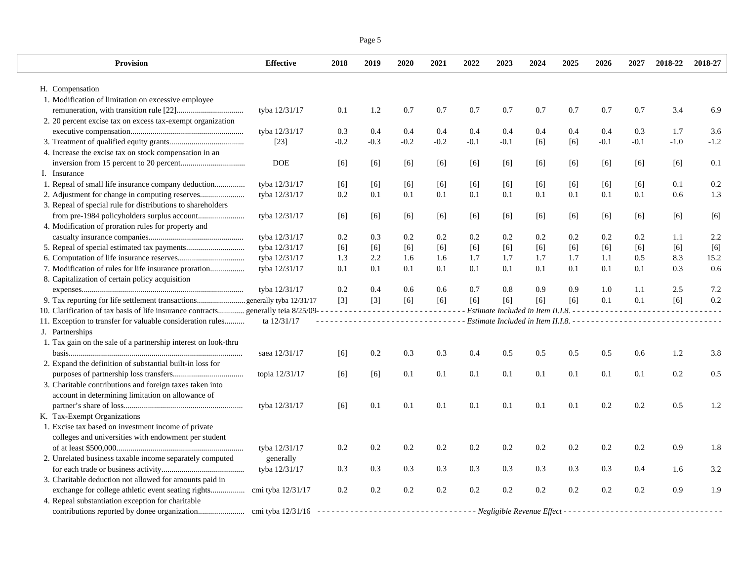| <b>Provision</b>                                                                                 | <b>Effective</b> | 2018   | 2019   | 2020   | 2021                          | 2022   | 2023   | 2024                                  | 2025 | 2026    | 2027   | 2018-22 | 2018-27 |
|--------------------------------------------------------------------------------------------------|------------------|--------|--------|--------|-------------------------------|--------|--------|---------------------------------------|------|---------|--------|---------|---------|
| H. Compensation                                                                                  |                  |        |        |        |                               |        |        |                                       |      |         |        |         |         |
| 1. Modification of limitation on excessive employee                                              |                  |        |        |        |                               |        |        |                                       |      |         |        |         |         |
|                                                                                                  | tyba 12/31/17    | 0.1    | 1.2    | 0.7    | 0.7                           | 0.7    | 0.7    | 0.7                                   | 0.7  | 0.7     | 0.7    | 3.4     | 6.9     |
| 2. 20 percent excise tax on excess tax-exempt organization                                       |                  |        |        |        |                               |        |        |                                       |      |         |        |         |         |
|                                                                                                  | tyba 12/31/17    | 0.3    | 0.4    | 0.4    | 0.4                           | 0.4    | 0.4    | 0.4                                   | 0.4  | 0.4     | 0.3    | 1.7     | 3.6     |
|                                                                                                  | $[23]$           | $-0.2$ | $-0.3$ | $-0.2$ | $-0.2$                        | $-0.1$ | $-0.1$ | [6]                                   | [6]  | $-0.1$  | $-0.1$ | $-1.0$  | $-1.2$  |
| 4. Increase the excise tax on stock compensation in an                                           |                  |        |        |        |                               |        |        |                                       |      |         |        |         |         |
|                                                                                                  | <b>DOE</b>       | [6]    | [6]    | $[6]$  | [6]                           | $[6]$  | [6]    | [6]                                   | [6]  | [6]     | [6]    | [6]     | 0.1     |
| I. Insurance                                                                                     |                  |        |        |        |                               |        |        |                                       |      |         |        |         |         |
| 1. Repeal of small life insurance company deduction                                              | tyba 12/31/17    | $[6]$  | [6]    | $[6]$  | [6]                           | $[6]$  | [6]    | [6]                                   | [6]  | [6]     | [6]    | 0.1     | $0.2\,$ |
|                                                                                                  | tyba 12/31/17    | 0.2    | 0.1    | 0.1    | 0.1                           | 0.1    | 0.1    | 0.1                                   | 0.1  | 0.1     | 0.1    | 0.6     | 1.3     |
| 3. Repeal of special rule for distributions to shareholders                                      |                  |        |        |        |                               |        |        |                                       |      |         |        |         |         |
|                                                                                                  | tyba 12/31/17    | [6]    | [6]    | $[6]$  | [6]                           | [6]    | [6]    | [6]                                   | [6]  | [6]     | [6]    | [6]     | [6]     |
| 4. Modification of proration rules for property and                                              |                  |        |        |        |                               |        |        |                                       |      |         |        |         |         |
|                                                                                                  | tyba 12/31/17    | 0.2    | 0.3    | 0.2    | 0.2                           | 0.2    | 0.2    | 0.2                                   | 0.2  | 0.2     | 0.2    | 1.1     | 2.2     |
|                                                                                                  | tyba 12/31/17    | $[6]$  | $[6]$  | $[6]$  | [6]                           | [6]    | [6]    | $[6]$                                 | [6]  | [6]     | [6]    | [6]     | [6]     |
|                                                                                                  | tyba 12/31/17    | 1.3    | 2.2    | 1.6    | 1.6                           | 1.7    | 1.7    | 1.7                                   | 1.7  | 1.1     | 0.5    | 8.3     | 15.2    |
| 7. Modification of rules for life insurance proration                                            | tyba 12/31/17    | 0.1    | 0.1    | 0.1    | 0.1                           | 0.1    | 0.1    | 0.1                                   | 0.1  | 0.1     | 0.1    | 0.3     | 0.6     |
| 8. Capitalization of certain policy acquisition                                                  |                  |        |        |        |                               |        |        |                                       |      |         |        |         |         |
|                                                                                                  | tyba 12/31/17    | 0.2    | 0.4    | 0.6    | 0.6                           | 0.7    | 0.8    | 0.9                                   | 0.9  | 1.0     | 1.1    | 2.5     | 7.2     |
| 9. Tax reporting for life settlement transactionsgenerally tyba 12/31/17                         |                  | $[3]$  | $[3]$  | $[6]$  | [6]                           | [6]    | [6]    | [6]                                   | [6]  | 0.1     | 0.1    | [6]     | 0.2     |
| 10. Clarification of tax basis of life insurance contracts generally teia 8/25/09--------------- |                  |        |        |        | <u> - - - - - - - - - - -</u> |        |        | Estimate Included in Item II.I.8. - - |      |         |        |         |         |
| 11. Exception to transfer for valuable consideration rules                                       | ta 12/31/17      |        |        |        | .                             |        |        |                                       |      |         |        |         |         |
| J. Partnerships                                                                                  |                  |        |        |        |                               |        |        |                                       |      |         |        |         |         |
| 1. Tax gain on the sale of a partnership interest on look-thru                                   |                  |        |        |        |                               |        |        |                                       |      |         |        |         |         |
|                                                                                                  | saea 12/31/17    | [6]    | 0.2    | 0.3    | 0.3                           | 0.4    | 0.5    | 0.5                                   | 0.5  | 0.5     | 0.6    | 1.2     | 3.8     |
| 2. Expand the definition of substantial built-in loss for                                        |                  |        |        |        |                               |        |        |                                       |      |         |        |         |         |
|                                                                                                  | topia 12/31/17   | [6]    | [6]    | 0.1    | 0.1                           | 0.1    | 0.1    | 0.1                                   | 0.1  | 0.1     | 0.1    | 0.2     | 0.5     |
| 3. Charitable contributions and foreign taxes taken into                                         |                  |        |        |        |                               |        |        |                                       |      |         |        |         |         |
| account in determining limitation on allowance of                                                |                  |        |        |        |                               |        |        |                                       |      |         |        |         |         |
|                                                                                                  | tyba 12/31/17    | [6]    | 0.1    | 0.1    | 0.1                           | 0.1    | 0.1    | 0.1                                   | 0.1  | $0.2\,$ | 0.2    | 0.5     | 1.2     |
| K. Tax-Exempt Organizations                                                                      |                  |        |        |        |                               |        |        |                                       |      |         |        |         |         |
| 1. Excise tax based on investment income of private                                              |                  |        |        |        |                               |        |        |                                       |      |         |        |         |         |
| colleges and universities with endowment per student                                             |                  |        |        |        |                               |        |        |                                       |      |         |        |         |         |
|                                                                                                  | tyba 12/31/17    | 0.2    | 0.2    | 0.2    | 0.2                           | 0.2    | 0.2    | 0.2                                   | 0.2  | 0.2     | 0.2    | 0.9     | 1.8     |
| 2. Unrelated business taxable income separately computed                                         | generally        |        |        |        |                               |        |        |                                       |      |         |        |         |         |
|                                                                                                  | tyba 12/31/17    | 0.3    | 0.3    | 0.3    | 0.3                           | 0.3    | 0.3    | 0.3                                   | 0.3  | 0.3     | 0.4    | 1.6     | 3.2     |
| 3. Charitable deduction not allowed for amounts paid in                                          |                  |        |        |        |                               |        |        |                                       |      |         |        |         |         |
|                                                                                                  |                  | 0.2    | 0.2    | 0.2    | 0.2                           | 0.2    | 0.2    | 0.2                                   | 0.2  | 0.2     | 0.2    | 0.9     | 1.9     |
| 4. Repeal substantiation exception for charitable                                                |                  |        |        |        |                               |        |        |                                       |      |         |        |         |         |

contributions reported by donee organization....................... cmi tyba 12/31/16 *- - - - - - - - - - - - - - - - - - - - - - - - - - - - - - - - - - Negligible Revenue Effect - - - - - - - - - - - - - - - - - - - - - - - - - - - - - - - - - -* 

Page 5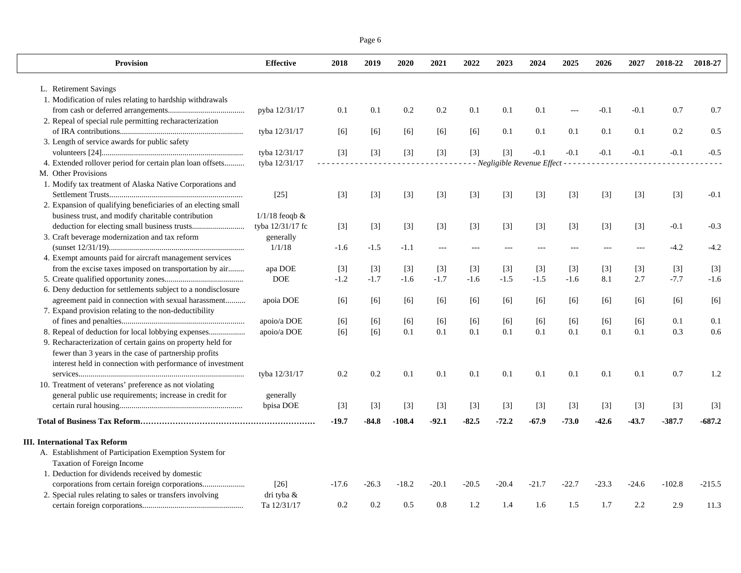| Page 6 |  |
|--------|--|
|        |  |

| <b>Provision</b>                                              | <b>Effective</b>   | 2018    | 2019    | 2020     | 2021    | 2022    | 2023    | 2024                                | 2025    | 2026    | 2027   | 2018-22  | 2018-27  |
|---------------------------------------------------------------|--------------------|---------|---------|----------|---------|---------|---------|-------------------------------------|---------|---------|--------|----------|----------|
| L. Retirement Savings                                         |                    |         |         |          |         |         |         |                                     |         |         |        |          |          |
| 1. Modification of rules relating to hardship withdrawals     |                    |         |         |          |         |         |         |                                     |         |         |        |          |          |
|                                                               | pyba 12/31/17      | 0.1     | 0.1     | 0.2      | 0.2     | 0.1     | 0.1     | 0.1                                 | $\sim$  | $-0.1$  | $-0.1$ | 0.7      | 0.7      |
| 2. Repeal of special rule permitting recharacterization       |                    |         |         |          |         |         |         |                                     |         |         |        |          |          |
|                                                               | tyba 12/31/17      | [6]     | [6]     | $[6]$    | $[6]$   | [6]     | 0.1     | 0.1                                 | 0.1     | 0.1     | 0.1    | 0.2      | 0.5      |
| 3. Length of service awards for public safety                 |                    |         |         |          |         |         |         |                                     |         |         |        |          |          |
|                                                               | tyba 12/31/17      | $[3]$   | $[3]$   | $[3]$    | $[3]$   | $[3]$   | $[3]$   | $-0.1$                              | $-0.1$  | $-0.1$  | $-0.1$ | $-0.1$   | $-0.5$   |
| 4. Extended rollover period for certain plan loan offsets     | tyba 12/31/17      |         |         |          |         |         |         | - Negligible Revenue Effect - - - - |         |         |        |          |          |
| M. Other Provisions                                           |                    |         |         |          |         |         |         |                                     |         |         |        |          |          |
| 1. Modify tax treatment of Alaska Native Corporations and     |                    |         |         |          |         |         |         |                                     |         |         |        |          |          |
|                                                               | $[25]$             | $[3]$   | $[3]$   | $[3]$    | $[3]$   | $[3]$   | $[3]$   | $[3]$                               | $[3]$   | $[3]$   | $[3]$  | $[3]$    | $-0.1$   |
| 2. Expansion of qualifying beneficiaries of an electing small |                    |         |         |          |         |         |         |                                     |         |         |        |          |          |
| business trust, and modify charitable contribution            | $1/1/18$ feoqb $&$ |         |         |          |         |         |         |                                     |         |         |        |          |          |
|                                                               | tyba 12/31/17 fc   | $[3]$   | $[3]$   | $[3]$    | $[3]$   | $[3]$   | $[3]$   | $[3]$                               | $[3]$   | $[3]$   | $[3]$  | $-0.1$   | $-0.3$   |
| 3. Craft beverage modernization and tax reform                | generally          |         |         |          |         |         |         |                                     |         |         |        |          |          |
|                                                               | 1/1/18             | $-1.6$  | $-1.5$  | $-1.1$   |         |         |         |                                     |         |         |        | $-4.2$   | $-4.2$   |
| 4. Exempt amounts paid for aircraft management services       |                    |         |         |          |         |         |         |                                     |         |         |        |          |          |
| from the excise taxes imposed on transportation by air        | apa DOE            | $[3]$   | $[3]$   | $[3]$    | $[3]$   | $[3]$   | $[3]$   | $\lceil 3 \rceil$                   | $[3]$   | $[3]$   | $[3]$  | $[3]$    | [3]      |
|                                                               | <b>DOE</b>         | $-1.2$  | $-1.7$  | $-1.6$   | $-1.7$  | $-1.6$  | $-1.5$  | $-1.5$                              | $-1.6$  | 8.1     | 2.7    | $-7.7$   | $-1.6$   |
| 6. Deny deduction for settlements subject to a nondisclosure  |                    |         |         |          |         |         |         |                                     |         |         |        |          |          |
| agreement paid in connection with sexual harassment           | apoia DOE          | $[6]$   | [6]     | [6]      | [6]     | [6]     | [6]     | [6]                                 | [6]     | [6]     | [6]    | [6]      | $[6]$    |
| 7. Expand provision relating to the non-deductibility         |                    |         |         |          |         |         |         |                                     |         |         |        |          |          |
|                                                               | apoio/a DOE        | [6]     | [6]     | [6]      | [6]     | [6]     | [6]     | [6]                                 | [6]     | [6]     | [6]    | 0.1      | 0.1      |
| 8. Repeal of deduction for local lobbying expenses            | apoio/a DOE        | $[6]$   | [6]     | 0.1      | 0.1     | 0.1     | 0.1     | 0.1                                 | 0.1     | 0.1     | 0.1    | 0.3      | 0.6      |
| 9. Recharacterization of certain gains on property held for   |                    |         |         |          |         |         |         |                                     |         |         |        |          |          |
| fewer than 3 years in the case of partnership profits         |                    |         |         |          |         |         |         |                                     |         |         |        |          |          |
| interest held in connection with performance of investment    |                    |         |         |          |         |         |         |                                     |         |         |        |          |          |
|                                                               | tyba 12/31/17      | 0.2     | 0.2     | 0.1      | 0.1     | 0.1     | 0.1     | 0.1                                 | 0.1     | 0.1     | 0.1    | 0.7      | 1.2      |
| 10. Treatment of veterans' preference as not violating        |                    |         |         |          |         |         |         |                                     |         |         |        |          |          |
| general public use requirements; increase in credit for       | generally          |         |         |          |         |         |         |                                     |         |         |        |          |          |
|                                                               | bpisa DOE          | $[3]$   | $[3]$   | $[3]$    | $[3]$   | $[3]$   | $[3]$   | $[3]$                               | $[3]$   | $[3]$   | $[3]$  | $[3]$    | $[3]$    |
|                                                               |                    |         |         |          |         |         |         |                                     |         |         |        |          |          |
|                                                               |                    | $-19.7$ | $-84.8$ | $-108.4$ | $-92.1$ | $-82.5$ | $-72.2$ | $-67.9$                             | $-73.0$ | -42.6   | -43.7  | -387.7   | $-687.2$ |
| <b>III.</b> International Tax Reform                          |                    |         |         |          |         |         |         |                                     |         |         |        |          |          |
| A. Establishment of Participation Exemption System for        |                    |         |         |          |         |         |         |                                     |         |         |        |          |          |
| Taxation of Foreign Income                                    |                    |         |         |          |         |         |         |                                     |         |         |        |          |          |
| 1. Deduction for dividends received by domestic               |                    |         |         |          |         |         |         |                                     |         |         |        |          |          |
|                                                               | [26]               | $-17.6$ | $-26.3$ | $-18.2$  | $-20.1$ | $-20.5$ | $-20.4$ | $-21.7$                             | $-22.7$ | $-23.3$ | -24.6  | $-102.8$ | $-215.5$ |
| 2. Special rules relating to sales or transfers involving     | dri tyba &         |         |         |          |         |         |         |                                     |         |         |        |          |          |
|                                                               | Ta 12/31/17        | 0.2     | 0.2     | 0.5      | 0.8     | 1.2     | 1.4     | 1.6                                 | 1.5     | 1.7     | 2.2    | 2.9      | 11.3     |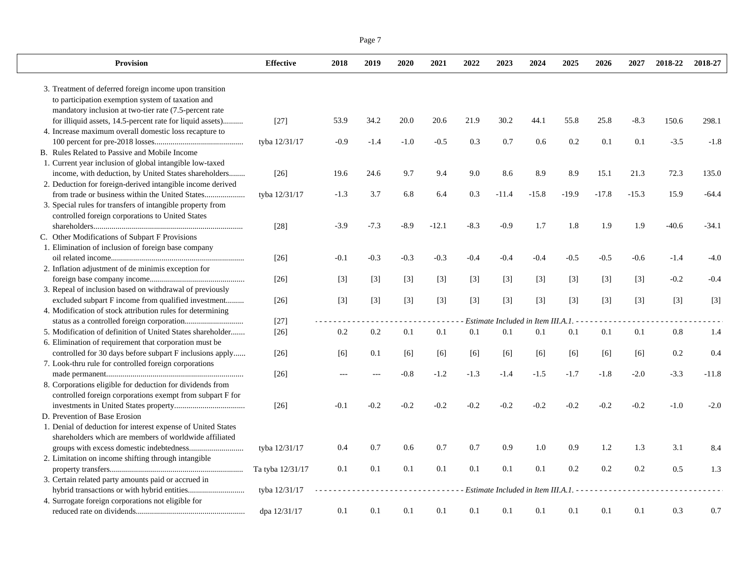|--|--|

| <b>Provision</b>                                             | <b>Effective</b>   | 2018   | 2019   | 2020   | 2021    | 2022   | 2023                                 | 2024    | 2025    | 2026    | 2027    | 2018-22 | 2018-27 |
|--------------------------------------------------------------|--------------------|--------|--------|--------|---------|--------|--------------------------------------|---------|---------|---------|---------|---------|---------|
| 3. Treatment of deferred foreign income upon transition      |                    |        |        |        |         |        |                                      |         |         |         |         |         |         |
| to participation exemption system of taxation and            |                    |        |        |        |         |        |                                      |         |         |         |         |         |         |
| mandatory inclusion at two-tier rate (7.5-percent rate       |                    |        |        |        |         |        |                                      |         |         |         |         |         |         |
| for illiquid assets, 14.5-percent rate for liquid assets)    | $[27]$             | 53.9   | 34.2   | 20.0   | 20.6    | 21.9   | 30.2                                 | 44.1    | 55.8    | 25.8    | $-8.3$  | 150.6   | 298.1   |
| 4. Increase maximum overall domestic loss recapture to       |                    |        |        |        |         |        |                                      |         |         |         |         |         |         |
|                                                              | tyba 12/31/17      | $-0.9$ | $-1.4$ | $-1.0$ | $-0.5$  | 0.3    | 0.7                                  | 0.6     | 0.2     | 0.1     | 0.1     | $-3.5$  | $-1.8$  |
| B. Rules Related to Passive and Mobile Income                |                    |        |        |        |         |        |                                      |         |         |         |         |         |         |
| 1. Current year inclusion of global intangible low-taxed     |                    |        |        |        |         |        |                                      |         |         |         |         |         |         |
| income, with deduction, by United States shareholders        | $[26]$             | 19.6   | 24.6   | 9.7    | 9.4     | 9.0    | 8.6                                  | 8.9     | 8.9     | 15.1    | 21.3    | 72.3    | 135.0   |
| 2. Deduction for foreign-derived intangible income derived   |                    |        |        |        |         |        |                                      |         |         |         |         |         |         |
| from trade or business within the United States              | tyba 12/31/17      | $-1.3$ | 3.7    | 6.8    | 6.4     | 0.3    | $-11.4$                              | $-15.8$ | $-19.9$ | $-17.8$ | $-15.3$ | 15.9    | $-64.4$ |
| 3. Special rules for transfers of intangible property from   |                    |        |        |        |         |        |                                      |         |         |         |         |         |         |
| controlled foreign corporations to United States             |                    |        |        |        |         |        |                                      |         |         |         |         |         |         |
|                                                              | $[28]$             | $-3.9$ | $-7.3$ | $-8.9$ | $-12.1$ | $-8.3$ | $-0.9$                               | 1.7     | 1.8     | 1.9     | 1.9     | $-40.6$ | $-34.1$ |
| C. Other Modifications of Subpart F Provisions               |                    |        |        |        |         |        |                                      |         |         |         |         |         |         |
| 1. Elimination of inclusion of foreign base company          |                    |        |        |        |         |        |                                      |         |         |         |         |         |         |
|                                                              | $[26]$             | $-0.1$ | $-0.3$ | $-0.3$ | $-0.3$  | $-0.4$ | $-0.4$                               | $-0.4$  | $-0.5$  | $-0.5$  | $-0.6$  | $-1.4$  | $-4.0$  |
| 2. Inflation adjustment of de minimis exception for          |                    |        |        |        |         |        |                                      |         |         |         |         |         |         |
|                                                              | $[26]$             | $[3]$  | $[3]$  | $[3]$  | $[3]$   | $[3]$  | $[3]$                                | $[3]$   | $[3]$   | $[3]$   | $[3]$   | $-0.2$  | $-0.4$  |
| 3. Repeal of inclusion based on withdrawal of previously     |                    |        |        |        |         |        |                                      |         |         |         |         |         |         |
| excluded subpart F income from qualified investment          | $[26]$             | $[3]$  | $[3]$  | $[3]$  | $[3]$   | $[3]$  | $[3]$                                | $[3]$   | $[3]$   | $[3]$   | $[3]$   | $[3]$   | $[3]$   |
| 4. Modification of stock attribution rules for determining   |                    |        |        |        |         |        |                                      |         |         |         |         |         |         |
|                                                              | $[27]$             |        |        |        |         |        | Estimate Included in Item III.A.1. - |         |         |         |         |         |         |
| 5. Modification of definition of United States shareholder   | $[26]$             | 0.2    | 0.2    | 0.1    | 0.1     | 0.1    | 0.1                                  | 0.1     | 0.1     | 0.1     | 0.1     | 0.8     | 1.4     |
| 6. Elimination of requirement that corporation must be       |                    |        |        |        |         |        |                                      |         |         |         |         |         |         |
| controlled for 30 days before subpart F inclusions apply     | $\lceil 26 \rceil$ | [6]    | 0.1    | $[6]$  | [6]     | [6]    | [6]                                  | [6]     | [6]     | [6]     | [6]     | 0.2     | 0.4     |
| 7. Look-thru rule for controlled foreign corporations        |                    |        |        |        |         |        |                                      |         |         |         |         |         |         |
|                                                              | $[26]$             |        |        | $-0.8$ | $-1.2$  | $-1.3$ | $-1.4$                               | $-1.5$  | $-1.7$  | $-1.8$  | $-2.0$  | $-3.3$  | $-11.8$ |
| 8. Corporations eligible for deduction for dividends from    |                    |        |        |        |         |        |                                      |         |         |         |         |         |         |
| controlled foreign corporations exempt from subpart F for    |                    |        |        |        |         |        |                                      |         |         |         |         |         |         |
|                                                              | $[26]$             | $-0.1$ | $-0.2$ | $-0.2$ | $-0.2$  | $-0.2$ | $-0.2$                               | $-0.2$  | $-0.2$  | $-0.2$  | $-0.2$  | $-1.0$  | $-2.0$  |
| D. Prevention of Base Erosion                                |                    |        |        |        |         |        |                                      |         |         |         |         |         |         |
| 1. Denial of deduction for interest expense of United States |                    |        |        |        |         |        |                                      |         |         |         |         |         |         |
| shareholders which are members of worldwide affiliated       |                    |        |        |        |         |        |                                      |         |         |         |         |         |         |
|                                                              | tyba 12/31/17      | 0.4    | 0.7    | 0.6    | 0.7     | 0.7    | 0.9                                  | 1.0     | 0.9     | 1.2     | 1.3     | 3.1     | 8.4     |
| 2. Limitation on income shifting through intangible          |                    |        |        |        |         |        |                                      |         |         |         |         |         |         |
|                                                              | Ta tyba 12/31/17   | 0.1    | 0.1    | 0.1    | 0.1     | 0.1    | 0.1                                  | 0.1     | 0.2     | 0.2     | 0.2     | 0.5     | 1.3     |
| 3. Certain related party amounts paid or accrued in          |                    |        |        |        |         |        |                                      |         |         |         |         |         |         |
|                                                              | tyba 12/31/17      |        |        |        |         |        | Estimate Included in Item III.A.1. - |         |         |         |         |         |         |
| 4. Surrogate foreign corporations not eligible for           |                    |        |        |        |         |        |                                      |         |         |         |         |         |         |
|                                                              | dpa 12/31/17       | 0.1    | 0.1    | 0.1    | 0.1     | 0.1    | 0.1                                  | 0.1     | 0.1     | 0.1     | 0.1     | 0.3     | 0.7     |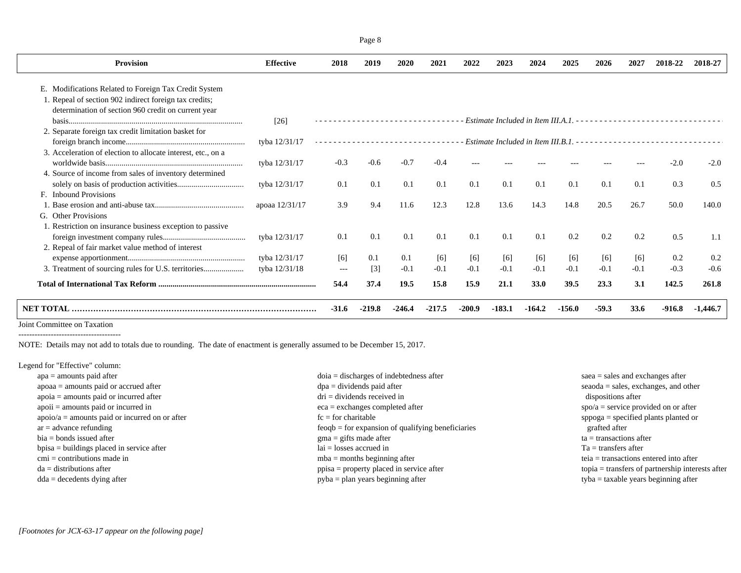| <b>Provision</b>                                             | <b>Effective</b> | 2018     | 2019              | 2020   | 2021   | 2022   | 2023   | 2024     | 2025                                                                                                       | 2026    | 2027   | 2018-22  | 2018-27  |
|--------------------------------------------------------------|------------------|----------|-------------------|--------|--------|--------|--------|----------|------------------------------------------------------------------------------------------------------------|---------|--------|----------|----------|
| E. Modifications Related to Foreign Tax Credit System        |                  |          |                   |        |        |        |        |          |                                                                                                            |         |        |          |          |
| 1. Repeal of section 902 indirect foreign tax credits;       |                  |          |                   |        |        |        |        |          |                                                                                                            |         |        |          |          |
| determination of section 960 credit on current year          | $[26]$           |          |                   |        |        |        |        |          |                                                                                                            |         |        |          |          |
| 2. Separate foreign tax credit limitation basket for         |                  |          |                   |        |        |        |        |          |                                                                                                            |         |        |          |          |
|                                                              | tyba 12/31/17    |          |                   |        |        |        |        |          | Estimate Included in Item III.B.1. $\cdots$ $\cdots$ $\cdots$ $\cdots$ $\cdots$ $\cdots$ $\cdots$ $\cdots$ |         |        |          |          |
| 3. Acceleration of election to allocate interest, etc., on a | tyba 12/31/17    | $-0.3$   | $-0.6$            | $-0.7$ | $-0.4$ |        |        |          |                                                                                                            |         |        | $-2.0$   | $-2.0$   |
| 4. Source of income from sales of inventory determined       |                  |          |                   |        |        |        |        |          |                                                                                                            |         |        |          |          |
|                                                              | tyba 12/31/17    | 0.1      | 0.1               | 0.1    | 0.1    | 0.1    | 0.1    | 0.1      | 0.1                                                                                                        | 0.1     | 0.1    | 0.3      | 0.5      |
| F. Inbound Provisions                                        |                  |          |                   |        |        |        |        |          |                                                                                                            |         |        |          |          |
|                                                              | apoaa 12/31/17   | 3.9      | 9.4               | 11.6   | 12.3   | 12.8   | 13.6   | 14.3     | 14.8                                                                                                       | 20.5    | 26.7   | 50.0     | 140.0    |
| G. Other Provisions                                          |                  |          |                   |        |        |        |        |          |                                                                                                            |         |        |          |          |
| 1. Restriction on insurance business exception to passive    |                  |          |                   |        |        |        |        |          |                                                                                                            |         |        |          |          |
|                                                              | tyba 12/31/17    | 0.1      | 0.1               | 0.1    | 0.1    | 0.1    | 0.1    | 0.1      | 0.2                                                                                                        | 0.2     | 0.2    | 0.5      | 1.1      |
| 2. Repeal of fair market value method of interest            |                  |          |                   |        |        |        |        |          |                                                                                                            |         |        |          |          |
|                                                              | tyba 12/31/17    | [6]      | 0.1               | 0.1    | [6]    | [6]    | [6]    | [6]      | [6]                                                                                                        | [6]     | [6]    | 0.2      | 0.2      |
|                                                              | tyba 12/31/18    | $\cdots$ | $\lceil 3 \rceil$ | $-0.1$ | $-0.1$ | $-0.1$ | $-0.1$ | $-0.1$   | $-0.1$                                                                                                     | $-0.1$  | $-0.1$ | $-0.3$   | $-0.6$   |
|                                                              |                  | 54.4     | 37.4              | 19.5   | 15.8   | 15.9   | 21.1   | 33.0     | 39.5                                                                                                       | 23.3    | 3.1    | 142.5    | 261.8    |
| NET TOTAL                                                    |                  | $-31.6$  | -219.8            | -246.4 | -217.5 | -200.9 | -183.1 | $-164.2$ | $-156.0$                                                                                                   | $-59.3$ | 33.6   | $-916.8$ | -1,446.7 |
|                                                              |                  |          |                   |        |        |        |        |          |                                                                                                            |         |        |          |          |

Joint Committee on Taxation --------------------------------------

NOTE: Details may not add to totals due to rounding. The date of enactment is generally assumed to be December 15, 2017.

Legend for "Effective" column:

| $apa = amounts paid after$                       | $doia = discharges of indebtedness after$      | $saea = sales$ and exchanges after                        |
|--------------------------------------------------|------------------------------------------------|-----------------------------------------------------------|
| $apoaa = amounts$ paid or accrued after          | $dpa = \text{dividends paid after}$            | $seaoda = sales, exchanges, and other$                    |
| $apoia = amounts paid or incurred after$         | $dri = \text{dividends received in}$           | dispositions after                                        |
| $apoii = amounts paid or incurred in$            | $eca =$ exchanges completed after              | $spo/a =$ service provided on or after                    |
| $apoio/a = amounts$ paid or incurred on or after | $fc = for$ charitable                          | $\text{sppoga} = \text{specified plants planted or}$      |
| $ar =$ advance refunding                         | $feogb = for expansion of qualifying benefits$ | grafted after                                             |
| $bia = bonds$ issued after                       | $\text{g}$ ma = gifts made after               | $ta =$ transactions after                                 |
| $bpisa = buildings placed in service after$      | $lai = losses$ accrued in                      | $Ta =$ transfers after                                    |
| $cmi =$ contributions made in                    | $mba =$ months beginning after                 | teia $=$ transactions entered into after                  |
| $da =$ distributions after                       | $ppisa = property placed in service after$     | $topia = \text{transfers of partnership interests after}$ |
| $dda = decedents$ dying after                    | $pyba = plan \text{ years beginning after}$    | $t$ yba = taxable years beginning after                   |
|                                                  |                                                |                                                           |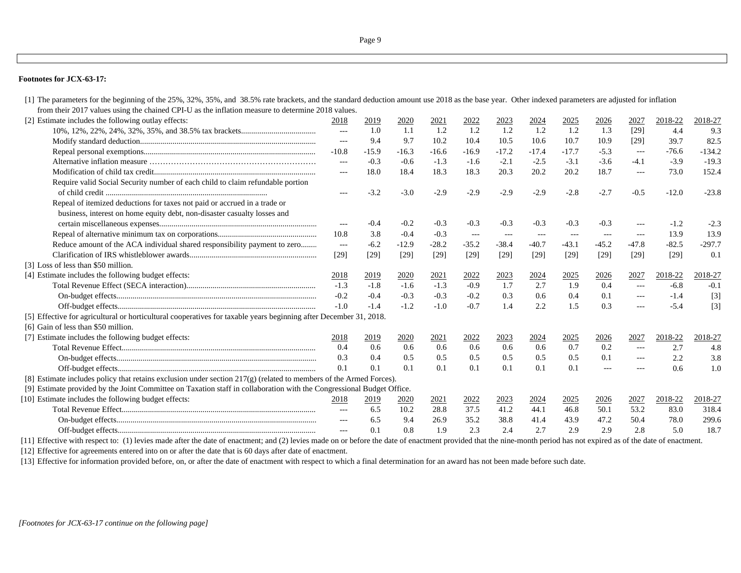### **Footnotes for JCX-63-17:**

[1] The parameters for the beginning of the 25%, 32%, 35%, and 38.5% rate brackets, and the standard deduction amount use 2018 as the base year. Other indexed parameters are adjusted for inflation from their 2017 values using the chained CPI-U as the inflation measure to determine 2018 values.

| [2] Estimate includes the following outlay effects:                                                                   | 2018                                                                                                                                                                                                                                                                                                                                                                                         | 2019    | 2020        | 2021    | 2022    | 2023    | 2024    | 2025    | 2026     | 2027                 | 2018-22 | 2018-27  |
|-----------------------------------------------------------------------------------------------------------------------|----------------------------------------------------------------------------------------------------------------------------------------------------------------------------------------------------------------------------------------------------------------------------------------------------------------------------------------------------------------------------------------------|---------|-------------|---------|---------|---------|---------|---------|----------|----------------------|---------|----------|
|                                                                                                                       | $---$                                                                                                                                                                                                                                                                                                                                                                                        | 1.0     | 1.1         | 1.2     | 1.2     | 1.2     | 1.2     | 1.2     | 1.3      | $[29]$               | 4.4     | 9.3      |
|                                                                                                                       | $---$                                                                                                                                                                                                                                                                                                                                                                                        | 9.4     | 9.7         | 10.2    | 10.4    | 10.5    | 10.6    | 10.7    | 10.9     | $[29]$               | 39.7    | 82.5     |
|                                                                                                                       | $-10.8$                                                                                                                                                                                                                                                                                                                                                                                      | $-15.9$ | $-16.3$     | $-16.6$ | $-16.9$ | $-17.2$ | $-17.4$ | $-17.7$ | $-5.3$   | $---$                | $-76.6$ | $-134.2$ |
|                                                                                                                       | $---$                                                                                                                                                                                                                                                                                                                                                                                        | $-0.3$  | $-0.6$      | $-1.3$  | $-1.6$  | $-2.1$  | $-2.5$  | $-3.1$  | $-3.6$   | $-4.1$               | $-3.9$  | $-19.3$  |
|                                                                                                                       | $\cdots$                                                                                                                                                                                                                                                                                                                                                                                     | 18.0    | 18.4        | 18.3    | 18.3    | 20.3    | 20.2    | 20.2    | 18.7     | $\qquad \qquad - -$  | 73.0    | 152.4    |
| Require valid Social Security number of each child to claim refundable portion                                        | $---$                                                                                                                                                                                                                                                                                                                                                                                        | $-3.2$  | $-3.0$      | $-2.9$  | $-2.9$  | $-2.9$  | $-2.9$  | $-2.8$  | $-2.7$   | $-0.5$               | $-12.0$ | $-23.8$  |
| Repeal of itemized deductions for taxes not paid or accrued in a trade or                                             |                                                                                                                                                                                                                                                                                                                                                                                              |         |             |         |         |         |         |         |          |                      |         |          |
| business, interest on home equity debt, non-disaster casualty losses and                                              |                                                                                                                                                                                                                                                                                                                                                                                              |         |             |         |         |         |         |         |          |                      |         |          |
|                                                                                                                       | $---$                                                                                                                                                                                                                                                                                                                                                                                        | $-0.4$  | $-0.2$      | $-0.3$  | $-0.3$  | $-0.3$  | $-0.3$  | $-0.3$  | $-0.3$   | $\cdots$             | $-1.2$  | $-2.3$   |
|                                                                                                                       | 10.8                                                                                                                                                                                                                                                                                                                                                                                         | 3.8     | $-0.4$      | $-0.3$  | $---$   | $---$   | $---$   | $---$   | $---$    | $\cdots$             | 13.9    | 13.9     |
| Reduce amount of the ACA individual shared responsibility payment to zero                                             | $---$                                                                                                                                                                                                                                                                                                                                                                                        | $-6.2$  | $-12.9$     | $-28.2$ | $-35.2$ | $-38.4$ | $-40.7$ | $-43.1$ | $-45.2$  | $-47.8$              | $-82.5$ | $-297.7$ |
|                                                                                                                       | [29]                                                                                                                                                                                                                                                                                                                                                                                         | $[29]$  | $[29]$      | [29]    | [29]    | $[29]$  | [29]    | $[29]$  | $[29]$   | $[29]$               | $[29]$  | 0.1      |
| [3] Loss of less than \$50 million.                                                                                   |                                                                                                                                                                                                                                                                                                                                                                                              |         |             |         |         |         |         |         |          |                      |         |          |
| [4] Estimate includes the following budget effects:                                                                   | 2018                                                                                                                                                                                                                                                                                                                                                                                         | 2019    | 2020        | 2021    | 2022    | 2023    | 2024    | 2025    | 2026     | 2027                 | 2018-22 | 2018-27  |
|                                                                                                                       | $-1.3$                                                                                                                                                                                                                                                                                                                                                                                       | $-1.8$  | $-1.6$      | $-1.3$  | $-0.9$  | 1.7     | 2.7     | 1.9     | 0.4      | $\sim$ $\sim$ $\sim$ | $-6.8$  | $-0.1$   |
|                                                                                                                       | $-0.2$                                                                                                                                                                                                                                                                                                                                                                                       | $-0.4$  | $-0.3$      | $-0.3$  | $-0.2$  | 0.3     | 0.6     | 0.4     | 0.1      | $\cdots$             | $-1.4$  | $[3]$    |
|                                                                                                                       | $-1.0$                                                                                                                                                                                                                                                                                                                                                                                       | $-1.4$  | $-1.2$      | $-1.0$  | $-0.7$  | 1.4     | 2.2     | 1.5     | 0.3      | $\qquad \qquad - -$  | $-5.4$  | $[3]$    |
| [5] Effective for agricultural or horticultural cooperatives for taxable years beginning after December 31, 2018.     |                                                                                                                                                                                                                                                                                                                                                                                              |         |             |         |         |         |         |         |          |                      |         |          |
| [6] Gain of less than \$50 million.                                                                                   |                                                                                                                                                                                                                                                                                                                                                                                              |         |             |         |         |         |         |         |          |                      |         |          |
| [7] Estimate includes the following budget effects:                                                                   | 2018                                                                                                                                                                                                                                                                                                                                                                                         | 2019    | 2020        | 2021    | 2022    | 2023    | 2024    | 2025    | 2026     | 2027                 | 2018-22 | 2018-27  |
|                                                                                                                       | 0.4                                                                                                                                                                                                                                                                                                                                                                                          | 0.6     | 0.6         | 0.6     | 0.6     | 0.6     | 0.6     | 0.7     | 0.2      | $---$                | 2.7     | 4.8      |
|                                                                                                                       | 0.3                                                                                                                                                                                                                                                                                                                                                                                          | 0.4     | 0.5         | 0.5     | 0.5     | 0.5     | 0.5     | 0.5     | 0.1      | $\qquad \qquad - -$  | 2.2     | 3.8      |
|                                                                                                                       | 0.1                                                                                                                                                                                                                                                                                                                                                                                          | 0.1     | 0.1         | 0.1     | 0.1     | 0.1     | 0.1     | 0.1     | $\cdots$ | $\frac{1}{2}$        | 0.6     | 1.0      |
| [8] Estimate includes policy that retains exclusion under section $217(g)$ (related to members of the Armed Forces).  |                                                                                                                                                                                                                                                                                                                                                                                              |         |             |         |         |         |         |         |          |                      |         |          |
| [9] Estimate provided by the Joint Committee on Taxation staff in collaboration with the Congressional Budget Office. |                                                                                                                                                                                                                                                                                                                                                                                              |         |             |         |         |         |         |         |          |                      |         |          |
| [10] Estimate includes the following budget effects:                                                                  | 2018                                                                                                                                                                                                                                                                                                                                                                                         | 2019    | <u>2020</u> | 2021    | 2022    | 2023    | 2024    | 2025    | 2026     | 2027                 | 2018-22 | 2018-27  |
|                                                                                                                       | $\frac{1}{2} \frac{1}{2} \frac{1}{2} \frac{1}{2} \frac{1}{2} \frac{1}{2} \frac{1}{2} \frac{1}{2} \frac{1}{2} \frac{1}{2} \frac{1}{2} \frac{1}{2} \frac{1}{2} \frac{1}{2} \frac{1}{2} \frac{1}{2} \frac{1}{2} \frac{1}{2} \frac{1}{2} \frac{1}{2} \frac{1}{2} \frac{1}{2} \frac{1}{2} \frac{1}{2} \frac{1}{2} \frac{1}{2} \frac{1}{2} \frac{1}{2} \frac{1}{2} \frac{1}{2} \frac{1}{2} \frac{$ | 6.5     | 10.2        | 28.8    | 37.5    | 41.2    | 44.1    | 46.8    | 50.1     | 53.2                 | 83.0    | 318.4    |
|                                                                                                                       | $---$                                                                                                                                                                                                                                                                                                                                                                                        | 6.5     | 9.4         | 26.9    | 35.2    | 38.8    | 41.4    | 43.9    | 47.2     | 50.4                 | 78.0    | 299.6    |
|                                                                                                                       |                                                                                                                                                                                                                                                                                                                                                                                              | 0.1     | 0.8         | 1.9     | 2.3     | 2.4     | 2.7     | 2.9     | 2.9      | 2.8                  | 5.0     | 18.7     |
|                                                                                                                       |                                                                                                                                                                                                                                                                                                                                                                                              |         |             |         |         |         |         |         |          |                      |         |          |

[11] Effective with respect to: (1) levies made after the date of enactment; and (2) levies made on or before the date of enactment provided that the nine-month period has not expired as of the date of enactment.

[12] Effective for agreements entered into on or after the date that is 60 days after date of enactment.

[13] Effective for information provided before, on, or after the date of enactment with respect to which a final determination for an award has not been made before such date.